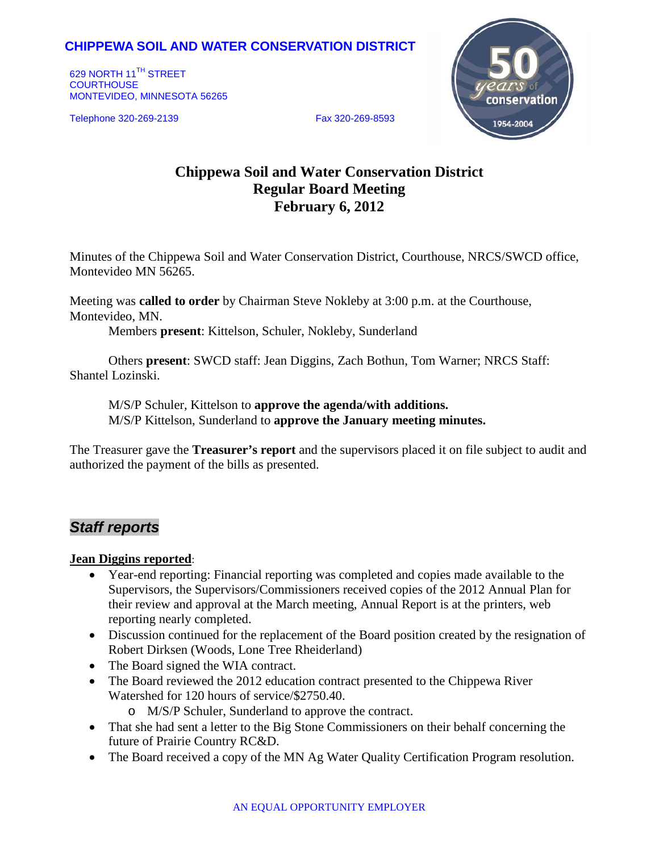## **CHIPPEWA SOIL AND WATER CONSERVATION DISTRICT**

629 NORTH 11<sup>TH</sup> STREET **COURTHOUSE** MONTEVIDEO, MINNESOTA 56265

Telephone 320-269-2139 Fax 320-269-8593



# **Chippewa Soil and Water Conservation District Regular Board Meeting February 6, 2012**

Minutes of the Chippewa Soil and Water Conservation District, Courthouse, NRCS/SWCD office, Montevideo MN 56265.

Meeting was **called to order** by Chairman Steve Nokleby at 3:00 p.m. at the Courthouse, Montevideo, MN.

Members **present**: Kittelson, Schuler, Nokleby, Sunderland

Others **present**: SWCD staff: Jean Diggins, Zach Bothun, Tom Warner; NRCS Staff: Shantel Lozinski.

M/S/P Schuler, Kittelson to **approve the agenda/with additions.** M/S/P Kittelson, Sunderland to **approve the January meeting minutes.**

The Treasurer gave the **Treasurer's report** and the supervisors placed it on file subject to audit and authorized the payment of the bills as presented.

## *Staff reports*

#### **Jean Diggins reported**:

- Year-end reporting: Financial reporting was completed and copies made available to the Supervisors, the Supervisors/Commissioners received copies of the 2012 Annual Plan for their review and approval at the March meeting, Annual Report is at the printers, web reporting nearly completed.
- Discussion continued for the replacement of the Board position created by the resignation of Robert Dirksen (Woods, Lone Tree Rheiderland)
- The Board signed the WIA contract.
- The Board reviewed the 2012 education contract presented to the Chippewa River Watershed for 120 hours of service/\$2750.40.
	- o M/S/P Schuler, Sunderland to approve the contract.
- That she had sent a letter to the Big Stone Commissioners on their behalf concerning the future of Prairie Country RC&D.
- The Board received a copy of the MN Ag Water Quality Certification Program resolution.